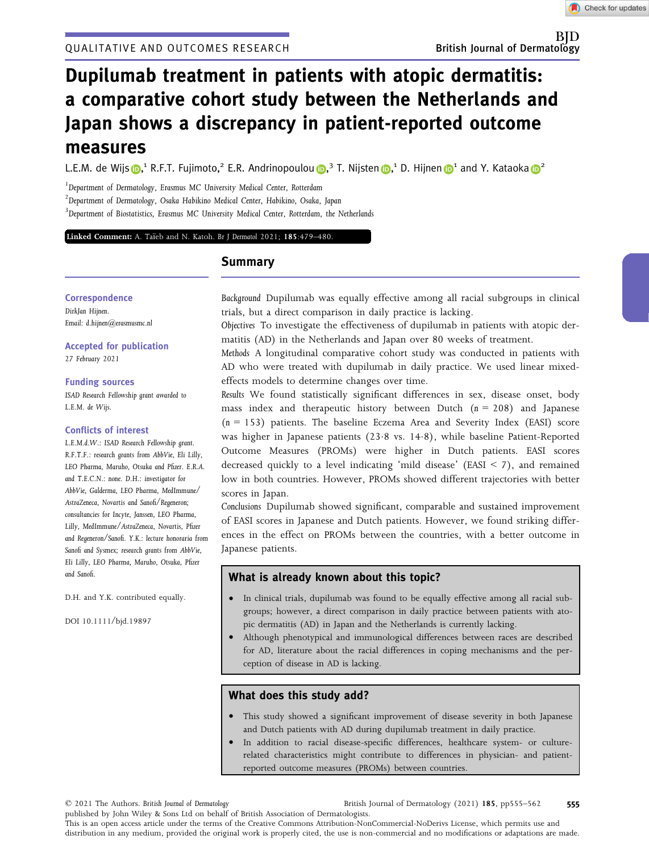Check for updates

# Dupilumab treatment in patients with atopic dermatitis: a comparative cohort study between the Netherlands and Japan shows a discrepancy in patient-reported outcome measures

L.E.M. de Wijs **D**,<sup>1</sup> R.F.T. Fujimoto,<sup>2</sup> E.R. A[n](https://orcid.org/0000-0001-9940-2875)drinopoulou **D**,<sup>3</sup> T. Nijsten D,<sup>1</sup> D. Hijnen D<sup>1</sup> and Y. Kataoka D<sup>2</sup>

<sup>1</sup>Department of Dermatology, Erasmus MC University Medical Center, Rotterdam

2 Department of Dermatology, Osaka Habikino Medical Center, Habikino, Osaka, Japan

<sup>3</sup>Department of Biostatistics, Erasmus MC University Medical Center, Rotterdam, the Netherlands

Linked Comment: [A. Ta](https://doi.org/10.1111/bjd.20424)ï[eb and N. Katoh.](https://doi.org/10.1111/bjd.20424) Br J Dermatol 2021; 185:479-480.

## Summary

**Correspondence** 

DirkJan Hijnen. Email: [d.hijnen@erasmusmc.nl](mailto:)

Accepted for publication 27 February 2021

Funding sources ISAD Research Fellowship grant awarded to L.E.M. de Wijs.

## Conflicts of interest

L.E.M.d.W.: ISAD Research Fellowship grant. R.F.T.F.: research grants from AbbVie, Eli Lilly, LEO Pharma, Maruho, Otsuka and Pfizer. E.R.A. and T.E.C.N.: none. D.H.: investigator for AbbVie, Galderma, LEO Pharma, MedImmune/ AstraZeneca, Novartis and Sanofi/Regeneron; consultancies for Incyte, Janssen, LEO Pharma, Lilly, MedImmune/AstraZeneca, Novartis, Pfizer and Regeneron/Sanofi. Y.K.: lecture honoraria from Sanofi and Sysmex; research grants from AbbVie, Eli Lilly, LEO Pharma, Maruho, Otsuka, Pfizer and Sanofi.

D.H. and Y.K. contributed equally.

DOI 10.1111/bjd.19897

Background Dupilumab was equally effective among all racial subgroups in clinical trials, but a direct comparison in daily practice is lacking.

Objectives To investigate the effectiveness of dupilumab in patients with atopic dermatitis (AD) in the Netherlands and Japan over 80 weeks of treatment.

Methods A longitudinal comparative cohort study was conducted in patients with AD who were treated with dupilumab in daily practice. We used linear mixedeffects models to determine changes over time.

Results We found statistically significant differences in sex, disease onset, body mass index and therapeutic history between Dutch  $(n = 208)$  and Japanese  $(n = 153)$  patients. The baseline Eczema Area and Severity Index (EASI) score was higher in Japanese patients (23.8 vs. 14.8), while baseline Patient-Reported Outcome Measures (PROMs) were higher in Dutch patients. EASI scores decreased quickly to a level indicating 'mild disease' (EASI < 7), and remained low in both countries. However, PROMs showed different trajectories with better scores in Japan.

Conclusions Dupilumab showed significant, comparable and sustained improvement of EASI scores in Japanese and Dutch patients. However, we found striking differences in the effect on PROMs between the countries, with a better outcome in Japanese patients.

## What is already known about this topic?

- In clinical trials, dupilumab was found to be equally effective among all racial subgroups; however, a direct comparison in daily practice between patients with atopic dermatitis (AD) in Japan and the Netherlands is currently lacking.
- Although phenotypical and immunological differences between races are described for AD, literature about the racial differences in coping mechanisms and the perception of disease in AD is lacking.

## What does this study add?

- This study showed a significant improvement of disease severity in both Japanese and Dutch patients with AD during dupilumab treatment in daily practice.
- In addition to racial disease-specific differences, healthcare system- or culturerelated characteristics might contribute to differences in physician- and patientreported outcome measures (PROMs) between countries.

© 2021 The Authors. British Journal of Dermatology

published by John Wiley & Sons Ltd on behalf of British Association of Dermatologists. This is an open access article under the terms of the [Creative Commons Attribution-NonCommercial-NoDerivs](http://creativecommons.org/licenses/by-nc-nd/4.0/) License, which permits use and distribution in any medium, provided the original work is properly cited, the use is non-commercial and no modifications or adaptations are made.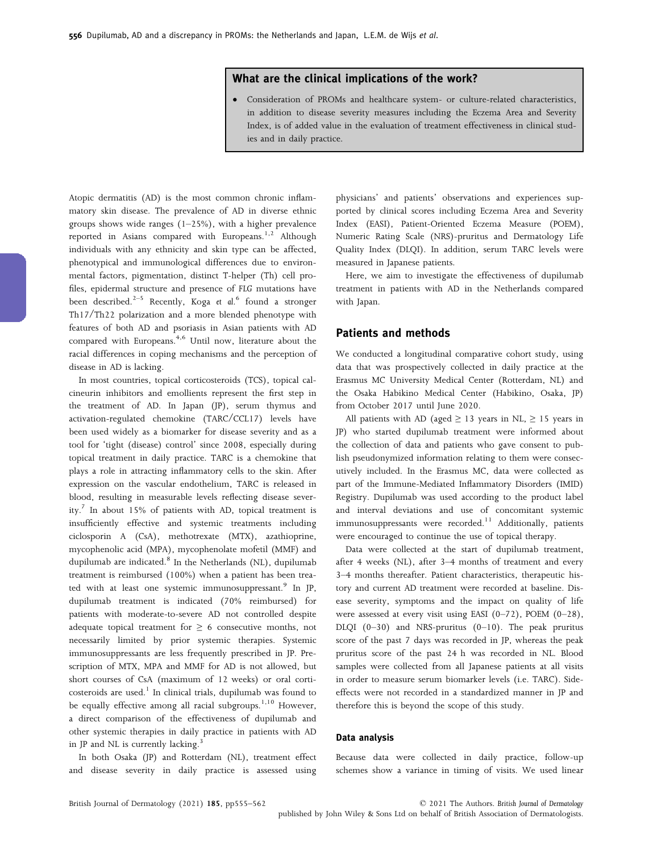## What are the clinical implications of the work?

• Consideration of PROMs and healthcare system- or culture-related characteristics, in addition to disease severity measures including the Eczema Area and Severity Index, is of added value in the evaluation of treatment effectiveness in clinical studies and in daily practice.

Atopic dermatitis (AD) is the most common chronic inflammatory skin disease. The prevalence of AD in diverse ethnic groups shows wide ranges (1–25%), with a higher prevalence reported in Asians compared with Europeans.<sup>1,2</sup> Although individuals with any ethnicity and skin type can be affected, phenotypical and immunological differences due to environmental factors, pigmentation, distinct T-helper (Th) cell profiles, epidermal structure and presence of FLG mutations have been described.<sup>2-5</sup> Recently, Koga et al.<sup>6</sup> found a stronger Th17/Th22 polarization and a more blended phenotype with features of both AD and psoriasis in Asian patients with AD compared with Europeans.<sup>4,6</sup> Until now, literature about the racial differences in coping mechanisms and the perception of disease in AD is lacking.

In most countries, topical corticosteroids (TCS), topical calcineurin inhibitors and emollients represent the first step in the treatment of AD. In Japan (JP), serum thymus and activation-regulated chemokine (TARC/CCL17) levels have been used widely as a biomarker for disease severity and as a tool for 'tight (disease) control' since 2008, especially during topical treatment in daily practice. TARC is a chemokine that plays a role in attracting inflammatory cells to the skin. After expression on the vascular endothelium, TARC is released in blood, resulting in measurable levels reflecting disease severity.<sup>7</sup> In about 15% of patients with AD, topical treatment is insufficiently effective and systemic treatments including ciclosporin A (CsA), methotrexate (MTX), azathioprine, mycophenolic acid (MPA), mycophenolate mofetil (MMF) and dupilumab are indicated.<sup>8</sup> In the Netherlands (NL), dupilumab treatment is reimbursed (100%) when a patient has been treated with at least one systemic immunosuppressant.<sup>9</sup> In JP, dupilumab treatment is indicated (70% reimbursed) for patients with moderate-to-severe AD not controlled despite adequate topical treatment for  $\geq 6$  consecutive months, not necessarily limited by prior systemic therapies. Systemic immunosuppressants are less frequently prescribed in JP. Prescription of MTX, MPA and MMF for AD is not allowed, but short courses of CsA (maximum of 12 weeks) or oral corticosteroids are used. $1$  In clinical trials, dupilumab was found to be equally effective among all racial subgroups.<sup>1,10</sup> However, a direct comparison of the effectiveness of dupilumab and other systemic therapies in daily practice in patients with AD in JP and NL is currently lacking.<sup>3</sup>

In both Osaka (JP) and Rotterdam (NL), treatment effect and disease severity in daily practice is assessed using physicians' and patients' observations and experiences supported by clinical scores including Eczema Area and Severity Index (EASI), Patient-Oriented Eczema Measure (POEM), Numeric Rating Scale (NRS)-pruritus and Dermatology Life Quality Index (DLQI). In addition, serum TARC levels were measured in Japanese patients.

Here, we aim to investigate the effectiveness of dupilumab treatment in patients with AD in the Netherlands compared with Japan.

## Patients and methods

We conducted a longitudinal comparative cohort study, using data that was prospectively collected in daily practice at the Erasmus MC University Medical Center (Rotterdam, NL) and the Osaka Habikino Medical Center (Habikino, Osaka, JP) from October 2017 until June 2020.

All patients with AD (aged  $\geq$  13 years in NL,  $\geq$  15 years in JP) who started dupilumab treatment were informed about the collection of data and patients who gave consent to publish pseudonymized information relating to them were consecutively included. In the Erasmus MC, data were collected as part of the Immune-Mediated Inflammatory Disorders (IMID) Registry. Dupilumab was used according to the product label and interval deviations and use of concomitant systemic immunosuppressants were recorded. $11$  Additionally, patients were encouraged to continue the use of topical therapy.

Data were collected at the start of dupilumab treatment, after 4 weeks (NL), after 3–4 months of treatment and every 3–4 months thereafter. Patient characteristics, therapeutic history and current AD treatment were recorded at baseline. Disease severity, symptoms and the impact on quality of life were assessed at every visit using EASI (0–72), POEM (0–28), DLQI (0–30) and NRS-pruritus (0–10). The peak pruritus score of the past 7 days was recorded in JP, whereas the peak pruritus score of the past 24 h was recorded in NL. Blood samples were collected from all Japanese patients at all visits in order to measure serum biomarker levels (i.e. TARC). Sideeffects were not recorded in a standardized manner in JP and therefore this is beyond the scope of this study.

#### Data analysis

Because data were collected in daily practice, follow-up schemes show a variance in timing of visits. We used linear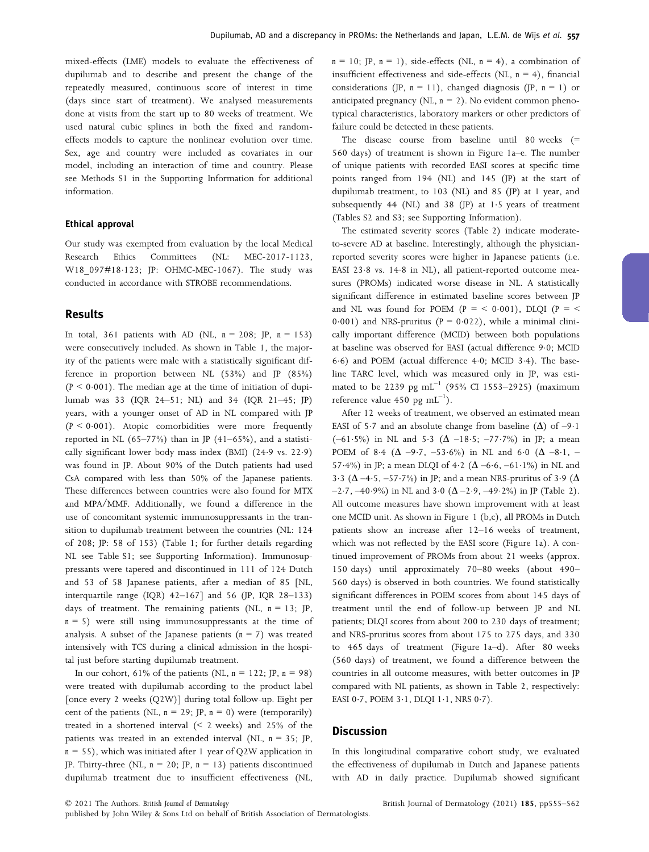mixed-effects (LME) models to evaluate the effectiveness of dupilumab and to describe and present the change of the repeatedly measured, continuous score of interest in time (days since start of treatment). We analysed measurements done at visits from the start up to 80 weeks of treatment. We used natural cubic splines in both the fixed and randomeffects models to capture the nonlinear evolution over time. Sex, age and country were included as covariates in our model, including an interaction of time and country. Please see Methods S1 in the Supporting Information for additional information.

#### Ethical approval

Our study was exempted from evaluation by the local Medical Research Ethics Committees (NL: MEC-2017-1123, W18\_097#18-123; JP: OHMC-MEC-1067). The study was conducted in accordance with STROBE recommendations.

## Results

In total, 361 patients with AD (NL,  $n = 208$ ; JP,  $n = 153$ ) were consecutively included. As shown in Table 1, the majority of the patients were male with a statistically significant difference in proportion between NL (53%) and JP (85%)  $(P < 0.001)$ . The median age at the time of initiation of dupilumab was 33 (IQR 24–51; NL) and 34 (IQR 21–45; JP) years, with a younger onset of AD in NL compared with JP  $(P < 0.001)$ . Atopic comorbidities were more frequently reported in NL  $(65–77%)$  than in JP  $(41–65%)$ , and a statistically significant lower body mass index (BMI) (24.9 vs. 22.9) was found in JP. About 90% of the Dutch patients had used CsA compared with less than 50% of the Japanese patients. These differences between countries were also found for MTX and MPA/MMF. Additionally, we found a difference in the use of concomitant systemic immunosuppressants in the transition to dupilumab treatment between the countries (NL: 124 of 208; JP: 58 of 153) (Table 1; for further details regarding NL see Table S1; see Supporting Information). Immunosuppressants were tapered and discontinued in 111 of 124 Dutch and 53 of 58 Japanese patients, after a median of 85 [NL, interquartile range (IQR) 42–167] and 56 (JP, IQR 28–133) days of treatment. The remaining patients (NL,  $n = 13$ ; JP,  $n = 5$ ) were still using immunosuppressants at the time of analysis. A subset of the Japanese patients  $(n = 7)$  was treated intensively with TCS during a clinical admission in the hospital just before starting dupilumab treatment.

In our cohort,  $61\%$  of the patients (NL,  $n = 122$ ; JP,  $n = 98$ ) were treated with dupilumab according to the product label [once every 2 weeks (Q2W)] during total follow-up. Eight per cent of the patients (NL,  $n = 29$ ; JP,  $n = 0$ ) were (temporarily) treated in a shortened interval (< 2 weeks) and 25% of the patients was treated in an extended interval (NL,  $n = 35$ ; JP,  $n = 55$ ), which was initiated after 1 year of Q2W application in JP. Thirty-three (NL,  $n = 20$ ; JP,  $n = 13$ ) patients discontinued dupilumab treatment due to insufficient effectiveness (NL,  $n = 10$ ; JP,  $n = 1$ ), side-effects (NL,  $n = 4$ ), a combination of insufficient effectiveness and side-effects (NL,  $n = 4$ ), financial considerations (JP,  $n = 11$ ), changed diagnosis (JP,  $n = 1$ ) or anticipated pregnancy ( $NL$ ,  $n = 2$ ). No evident common phenotypical characteristics, laboratory markers or other predictors of failure could be detected in these patients.

The disease course from baseline until 80 weeks (= 560 days) of treatment is shown in Figure 1a–e. The number of unique patients with recorded EASI scores at specific time points ranged from 194 (NL) and 145 (JP) at the start of dupilumab treatment, to 103 (NL) and 85 (JP) at 1 year, and subsequently  $44$  (NL) and  $38$  (JP) at  $1.5$  years of treatment (Tables S2 and S3; see Supporting Information).

The estimated severity scores (Table 2) indicate moderateto-severe AD at baseline. Interestingly, although the physicianreported severity scores were higher in Japanese patients (i.e. EASI 23.8 vs. 14.8 in NL), all patient-reported outcome measures (PROMs) indicated worse disease in NL. A statistically significant difference in estimated baseline scores between JP and NL was found for POEM ( $P = \langle 0.001 \rangle$ , DLQI ( $P = \langle$ 0.001) and NRS-pruritus ( $P = 0.022$ ), while a minimal clinically important difference (MCID) between both populations at baseline was observed for EASI (actual difference 9.0; MCID 6.6) and POEM (actual difference 4.0; MCID 3.4). The baseline TARC level, which was measured only in JP, was estimated to be 2239 pg  $mL^{-1}$  (95% CI 1553–2925) (maximum reference value  $450$  pg  $mL^{-1}$ ).

After 12 weeks of treatment, we observed an estimated mean EASI of 5.7 and an absolute change from baseline  $(\Delta)$  of -9.1 (-61.5%) in NL and 5.3 ( $\Delta$  -18.5; -77.7%) in JP; a mean POEM of 8.4 ( $\Delta$  –9.7, –53.6%) in NL and 6.0 ( $\Delta$  –8.1, – 57.4%) in JP; a mean DLQI of 4.2 ( $(\Delta - 6.6, -61.1\%)$  in NL and 3.3 ( $\Delta$  –4.5, –57.7%) in JP; and a mean NRS-pruritus of 3.9 ( $\Delta$  $-2.7, -40.9\%$ ) in NL and  $3.0$  ( $\Delta -2.9, -49.2\%$ ) in JP (Table 2). All outcome measures have shown improvement with at least one MCID unit. As shown in Figure 1 (b,c), all PROMs in Dutch patients show an increase after 12–16 weeks of treatment, which was not reflected by the EASI score (Figure 1a). A continued improvement of PROMs from about 21 weeks (approx. 150 days) until approximately 70–80 weeks (about 490– 560 days) is observed in both countries. We found statistically significant differences in POEM scores from about 145 days of treatment until the end of follow-up between JP and NL patients; DLQI scores from about 200 to 230 days of treatment; and NRS-pruritus scores from about 175 to 275 days, and 330 to 465 days of treatment (Figure 1a–d). After 80 weeks (560 days) of treatment, we found a difference between the countries in all outcome measures, with better outcomes in JP compared with NL patients, as shown in Table 2, respectively: EASI 0.7, POEM 3.1, DLQI 1.1, NRS 0.7).

## Discussion

In this longitudinal comparative cohort study, we evaluated the effectiveness of dupilumab in Dutch and Japanese patients with AD in daily practice. Dupilumab showed significant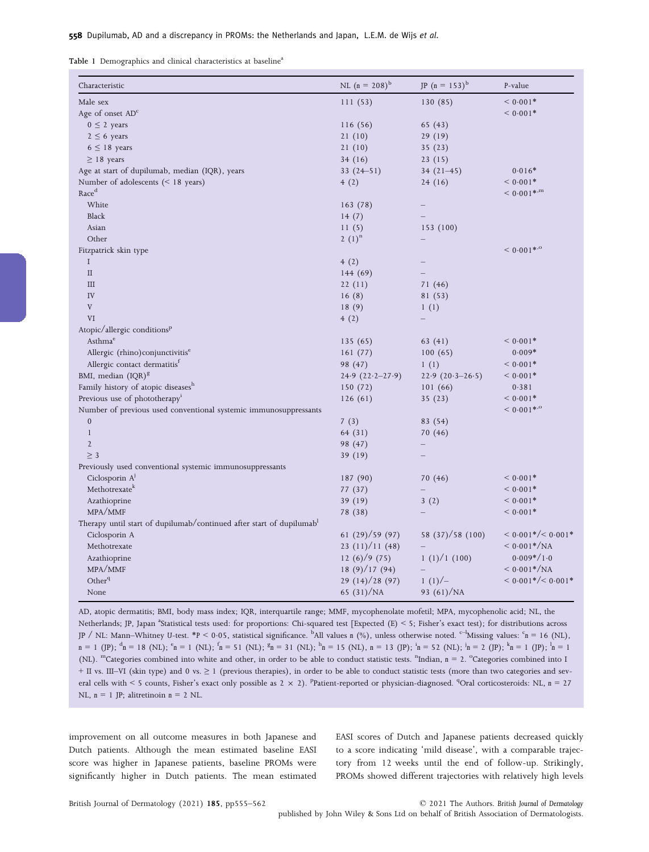Table 1 Demographics and clinical characteristics at baseline<sup>a</sup>

| Characteristic                                                      | NL $(n = 208)^{b}$  | JP $(n = 153)^{b}$ | P-value                   |
|---------------------------------------------------------------------|---------------------|--------------------|---------------------------|
| Male sex                                                            | 111(53)             | 130 (85)           | $< 0.001*$                |
| Age of onset AD <sup>c</sup>                                        |                     |                    | $< 0.001*$                |
| $0 \leq 2$ years                                                    | 116 (56)            | 65 (43)            |                           |
| $2 \leq 6$ years                                                    | 21(10)              | 29(19)             |                           |
| $6 \leq 18$ years                                                   | 21(10)              | 35(23)             |                           |
| $\geq$ 18 years                                                     | 34(16)              | 23(15)             |                           |
| Age at start of dupilumab, median (IQR), years                      | $33(24 - 51)$       | $34(21-45)$        | $0.016*$                  |
| Number of adolescents $(< 18$ years)                                | 4(2)                | 24(16)             | $< 0.001*$                |
| Race <sup>d</sup>                                                   |                     |                    | $< 0.001$ * <sup>,m</sup> |
| White                                                               | 163 (78)            |                    |                           |
| Black                                                               | 14(7)               |                    |                           |
| Asian                                                               | 11(5)               | 153 (100)          |                           |
| Other                                                               | 2 $(1)^n$           |                    |                           |
| Fitzpatrick skin type                                               |                     |                    | $< 0.001$ * <sup>.o</sup> |
| $\rm I$                                                             | 4(2)                |                    |                           |
| $\mathbf{I}$                                                        | 144(69)             |                    |                           |
| $\rm III$                                                           | 22(11)              | 71(46)             |                           |
| IV                                                                  | 16(8)               | 81 (53)            |                           |
| $\rm V$                                                             | 18(9)               | 1(1)               |                           |
| VI                                                                  | 4(2)                |                    |                           |
| Atopic/allergic conditions <sup>p</sup>                             |                     |                    |                           |
| Asthma <sup>e</sup>                                                 | 135(65)             | 63 (41)            | $< 0.001*$                |
| Allergic (rhino) conjunctivitis <sup>e</sup>                        | 161(77)             | 100(65)            | $0.009*$                  |
| Allergic contact dermatitis <sup>t</sup>                            | 98 (47)             | 1(1)               | $< 0.001*$                |
| BMI, median (IQR) <sup>g</sup>                                      | $24.9(22.2 - 27.9)$ | $22.9(20.3-26.5)$  | $< 0.001*$                |
| Family history of atopic diseases <sup>h</sup>                      | 150(72)             | 101(66)            | 0.381                     |
| Previous use of phototherapy <sup>1</sup>                           | 126(61)             | 35(23)             | $< 0.001*$                |
| Number of previous used conventional systemic immunosuppressants    |                     |                    | $< 0.001$ * <sup>.o</sup> |
| $\boldsymbol{0}$                                                    | 7(3)                | 83 (54)            |                           |
| $\mathbf{1}$                                                        | 64 (31)             | 70 (46)            |                           |
| $\mathfrak{2}$                                                      | 98 (47)             |                    |                           |
| $\geq$ 3                                                            | 39 (19)             |                    |                           |
| Previously used conventional systemic immunosuppressants            |                     |                    |                           |
| Ciclosporin A <sup>J</sup>                                          | 187 (90)            | 70 (46)            | $< 0.001*$                |
| Methotrexate <sup>k</sup>                                           | 77 (37)             |                    | $< 0.001*$                |
| Azathioprine                                                        | 39 (19)             | 3(2)               | $< 0.001*$                |
| MPA/MMF                                                             | 78 (38)             |                    | $< 0.001*$                |
| Therapy until start of dupilumab/continued after start of dupilumab |                     |                    |                           |
| Ciclosporin A                                                       | 61(29)/59(97)       | 58 (37)/58 (100)   | $< 0.001*/< 0.001*$       |
| Methotrexate                                                        | 23(11)/11(48)       |                    | $< 0.001*/NA$             |
| Azathioprine                                                        | 12 (6) $/9$ (75)    | 1(1)/1(100)        | $0.009*/1.0$              |
| MPA/MMF                                                             | 18(9)/17(94)        |                    | $< 0.001*/NA$             |
| Other <sup>q</sup>                                                  | 29(14)/28(97)       | $1(1)/-$           | $< 0.001*/< 0.001*$       |
|                                                                     |                     |                    |                           |

AD, atopic dermatitis; BMI, body mass index; IQR, interquartile range; MMF, mycophenolate mofetil; MPA, mycophenolic acid; NL, the Netherlands; JP, Japan <sup>a</sup>Statistical tests used: for proportions: Chi-squared test [Expected (E) < 5; Fisher's exact test); for distributions across JP / NL: Mann–Whitney U-test. \*P < 0.05, statistical significance. <sup>b</sup>All values n (%), unless otherwise noted. <sup>c–1</sup>Missing values: <sup>c</sup>n = 16 (NL), n = 1 (JP);  ${}^{d}$ n = 18 (NL);  ${}^{e}$ n = 1 (NL);  ${}^{f}$ n = 51 (NL);  ${}^{g}$ n = 31 (NL);  ${}^{h}$ n = 15 (NL), n = 13 (JP);  ${}^{h}$ n = 52 (NL);  ${}^{h}$ n = 2 (JP);  ${}^{h}$ n = 1 (JP);  ${}^{h}$ n = 1 (NL). <sup>m</sup>Categories combined into white and other, in order to be able to conduct statistic tests. <sup>n</sup>Indian,  $n = 2$ . <sup>o</sup>Categories combined into 1 + II vs. III–VI (skin type) and 0 vs. ≥ 1 (previous therapies), in order to be able to conduct statistic tests (more than two categories and several cells with < 5 counts, Fisher's exact only possible as  $2 \times 2$ ). <sup>P</sup>Patient-reported or physician-diagnosed. <sup>q</sup>Oral corticosteroids: NL, n = 27 NL,  $n = 1$  JP; alitretinoin  $n = 2$  NL.

improvement on all outcome measures in both Japanese and Dutch patients. Although the mean estimated baseline EASI score was higher in Japanese patients, baseline PROMs were significantly higher in Dutch patients. The mean estimated EASI scores of Dutch and Japanese patients decreased quickly to a score indicating 'mild disease', with a comparable trajectory from 12 weeks until the end of follow-up. Strikingly, PROMs showed different trajectories with relatively high levels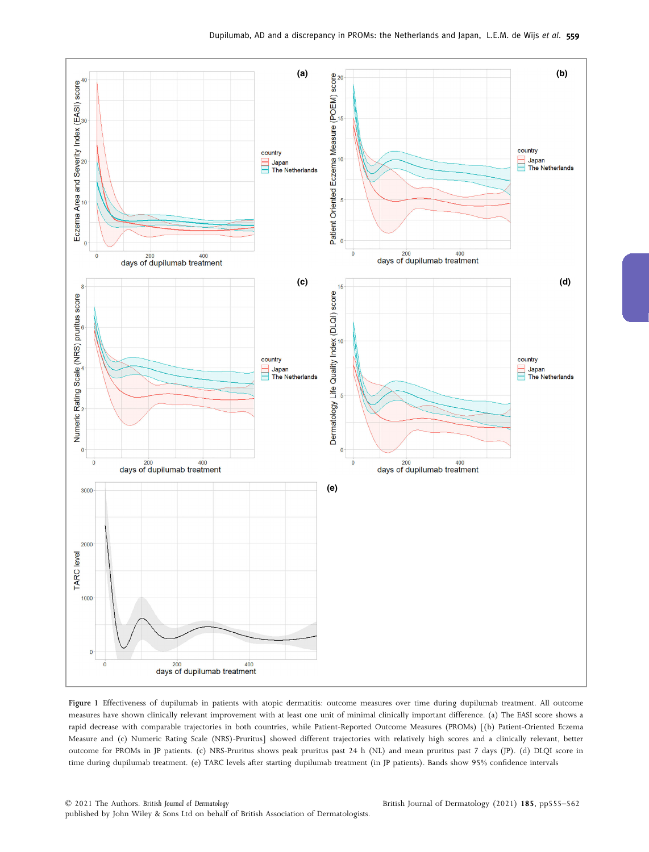

Figure 1 Effectiveness of dupilumab in patients with atopic dermatitis: outcome measures over time during dupilumab treatment. All outcome measures have shown clinically relevant improvement with at least one unit of minimal clinically important difference. (a) The EASI score shows a rapid decrease with comparable trajectories in both countries, while Patient-Reported Outcome Measures (PROMs) [(b) Patient-Oriented Eczema Measure and (c) Numeric Rating Scale (NRS)-Pruritus] showed different trajectories with relatively high scores and a clinically relevant, better outcome for PROMs in JP patients. (c) NRS-Pruritus shows peak pruritus past 24 h (NL) and mean pruritus past 7 days (JP). (d) DLQI score in time during dupilumab treatment. (e) TARC levels after starting dupilumab treatment (in JP patients). Bands show 95% confidence intervals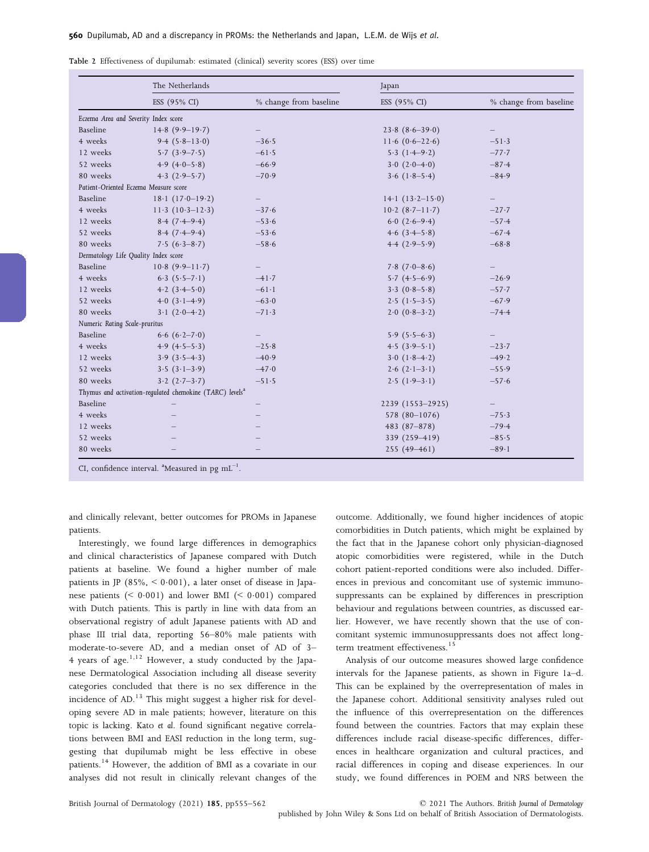|                                      | The Netherlands                                                      |                        | Japan               |                        |  |  |  |
|--------------------------------------|----------------------------------------------------------------------|------------------------|---------------------|------------------------|--|--|--|
|                                      | ESS (95% CI)                                                         | % change from baseline | ESS (95% CI)        | % change from baseline |  |  |  |
| Eczema Area and Severity Index score |                                                                      |                        |                     |                        |  |  |  |
| Baseline                             | $14.8(9.9-19.7)$                                                     |                        | $23.8 (8.6 - 39.0)$ |                        |  |  |  |
| 4 weeks                              | 9.4 $(5.8-13.0)$                                                     | $-36.5$                | $11.6(0.6-22.6)$    | $-51.3$                |  |  |  |
| 12 weeks                             | $5.7(3.9 - 7.5)$                                                     | $-61.5$                | $5.3(1.4-9.2)$      | $-77.7$                |  |  |  |
| 52 weeks                             | 4.9 $(4.0-5.8)$                                                      | $-66.9$                | $3.0(2.0-4.0)$      | $-87.4$                |  |  |  |
| 80 weeks                             | $4.3(2.9-5.7)$                                                       | $-70.9$                | $3.6(1.8-5.4)$      | $-84.9$                |  |  |  |
|                                      | Patient-Oriented Eczema Measure score                                |                        |                     |                        |  |  |  |
| Baseline                             | $18.1(17.0-19.2)$                                                    | $-$                    | $14.1(13.2-15.0)$   |                        |  |  |  |
| 4 weeks                              | $11.3(10.3-12.3)$                                                    | $-37.6$                | $10.2 (8.7 - 11.7)$ | $-27.7$                |  |  |  |
| 12 weeks                             | $8.4(7.4-9.4)$                                                       | $-53.6$                | $6.0(2.6-9.4)$      | $-57.4$                |  |  |  |
| 52 weeks                             | $8.4(7.4-9.4)$                                                       | $-53.6$                | $4.6(3.4 - 5.8)$    | $-67.4$                |  |  |  |
| 80 weeks                             | $7.5(6.3-8.7)$                                                       | $-58.6$                | $4.4(2.9-5.9)$      | $-68.8$                |  |  |  |
| Dermatology Life Quality Index score |                                                                      |                        |                     |                        |  |  |  |
| Baseline                             | $10.8(9.9-11.7)$                                                     |                        | $7.8$ $(7.0-8.6)$   |                        |  |  |  |
| 4 weeks                              | $6.3(5.5-7.1)$                                                       | $-41.7$                | $5.7(4.5-6.9)$      | $-26.9$                |  |  |  |
| 12 weeks                             | 4.2 $(3.4 - 5.0)$                                                    | $-61.1$                | $3.3(0.8-5.8)$      | $-57.7$                |  |  |  |
| 52 weeks                             | $4.0(3.1-4.9)$                                                       | $-63.0$                | $2.5(1.5-3.5)$      | $-67.9$                |  |  |  |
| 80 weeks                             | $3 \cdot 1$ $(2 \cdot 0 - 4 \cdot 2)$                                | $-71.3$                | $2.0(0.8-3.2)$      | $-74.4$                |  |  |  |
| Numeric Rating Scale-pruritus        |                                                                      |                        |                     |                        |  |  |  |
| Baseline                             | $6.6(6.2 - 7.0)$                                                     |                        | $5.9(5.5-6.3)$      |                        |  |  |  |
| 4 weeks                              | $4.9(4.5-5.3)$                                                       | $-25.8$                | $4.5(3.9-5.1)$      | $-23.7$                |  |  |  |
| 12 weeks                             | $3.9(3.5-4.3)$                                                       | $-40.9$                | $3.0(1.8-4.2)$      | $-49.2$                |  |  |  |
| 52 weeks                             | $3.5(3.1-3.9)$                                                       | $-47.0$                | $2.6(2.1-3.1)$      | $-55.9$                |  |  |  |
| 80 weeks                             | $3.2(2.7-3.7)$                                                       | $-51.5$                | $2.5(1.9-3.1)$      | $-57.6$                |  |  |  |
|                                      | Thymus and activation-regulated chemokine (TARC) levels <sup>a</sup> |                        |                     |                        |  |  |  |
| Baseline                             |                                                                      |                        | 2239 (1553-2925)    |                        |  |  |  |
| 4 weeks                              |                                                                      |                        | 578 (80-1076)       | $-75.3$                |  |  |  |
| 12 weeks                             |                                                                      |                        | $483(87-878)$       | $-79.4$                |  |  |  |
| 52 weeks                             |                                                                      |                        | 339 (259-419)       | $-85.5$                |  |  |  |
| 80 weeks                             |                                                                      |                        | $255(49 - 461)$     | $-89.1$                |  |  |  |

|  | Table 2 Effectiveness of dupilumab: estimated (clinical) severity scores (ESS) over time |  |  |  |  |  |
|--|------------------------------------------------------------------------------------------|--|--|--|--|--|
|  |                                                                                          |  |  |  |  |  |

CI, confidence interval.  $^{\text{a}}$ Measured in pg  $\text{mL}^{-1}$ .

and clinically relevant, better outcomes for PROMs in Japanese patients.

Interestingly, we found large differences in demographics and clinical characteristics of Japanese compared with Dutch patients at baseline. We found a higher number of male patients in JP  $(85\%, < 0.001)$ , a later onset of disease in Japanese patients  $( $0.001$ ) and lower BMI  $( $0.001$ ) compared$$ with Dutch patients. This is partly in line with data from an observational registry of adult Japanese patients with AD and phase III trial data, reporting 56–80% male patients with moderate-to-severe AD, and a median onset of AD of 3– 4 years of age. $1,12$  However, a study conducted by the Japanese Dermatological Association including all disease severity categories concluded that there is no sex difference in the incidence of AD.<sup>13</sup> This might suggest a higher risk for developing severe AD in male patients; however, literature on this topic is lacking. Kato et al. found significant negative correlations between BMI and EASI reduction in the long term, suggesting that dupilumab might be less effective in obese patients.<sup>14</sup> However, the addition of BMI as a covariate in our analyses did not result in clinically relevant changes of the

outcome. Additionally, we found higher incidences of atopic comorbidities in Dutch patients, which might be explained by the fact that in the Japanese cohort only physician-diagnosed atopic comorbidities were registered, while in the Dutch cohort patient-reported conditions were also included. Differences in previous and concomitant use of systemic immunosuppressants can be explained by differences in prescription behaviour and regulations between countries, as discussed earlier. However, we have recently shown that the use of concomitant systemic immunosuppressants does not affect longterm treatment effectiveness.<sup>15</sup>

Analysis of our outcome measures showed large confidence intervals for the Japanese patients, as shown in Figure 1a–d. This can be explained by the overrepresentation of males in the Japanese cohort. Additional sensitivity analyses ruled out the influence of this overrepresentation on the differences found between the countries. Factors that may explain these differences include racial disease-specific differences, differences in healthcare organization and cultural practices, and racial differences in coping and disease experiences. In our study, we found differences in POEM and NRS between the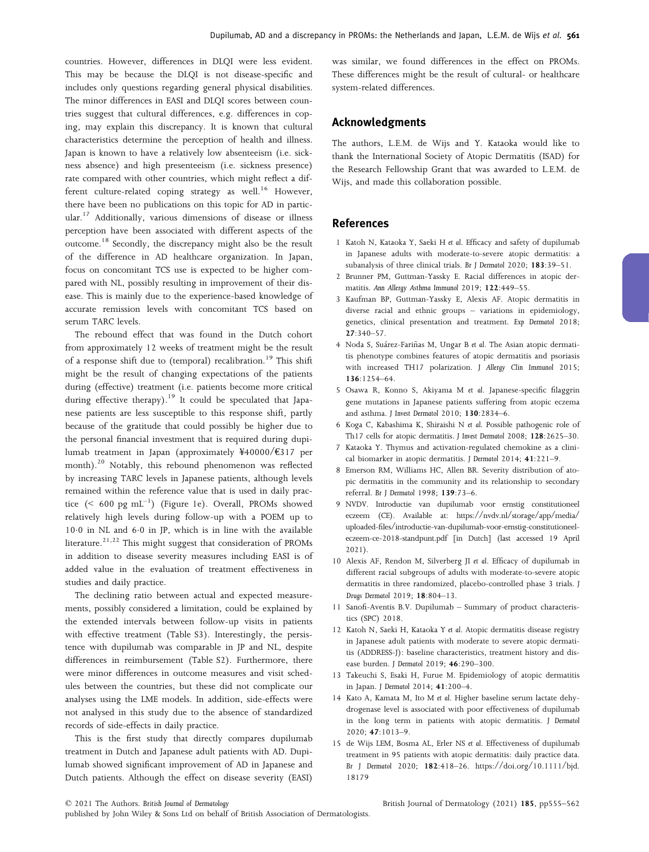countries. However, differences in DLQI were less evident. This may be because the DLQI is not disease-specific and includes only questions regarding general physical disabilities. The minor differences in EASI and DLQI scores between countries suggest that cultural differences, e.g. differences in coping, may explain this discrepancy. It is known that cultural characteristics determine the perception of health and illness. Japan is known to have a relatively low absenteeism (i.e. sickness absence) and high presenteeism (i.e. sickness presence) rate compared with other countries, which might reflect a different culture-related coping strategy as well.<sup>16</sup> However, there have been no publications on this topic for AD in particular.<sup>17</sup> Additionally, various dimensions of disease or illness perception have been associated with different aspects of the outcome.<sup>18</sup> Secondly, the discrepancy might also be the result of the difference in AD healthcare organization. In Japan, focus on concomitant TCS use is expected to be higher compared with NL, possibly resulting in improvement of their disease. This is mainly due to the experience-based knowledge of accurate remission levels with concomitant TCS based on serum TARC levels.

The rebound effect that was found in the Dutch cohort from approximately 12 weeks of treatment might be the result of a response shift due to (temporal) recalibration.<sup>19</sup> This shift might be the result of changing expectations of the patients during (effective) treatment (i.e. patients become more critical during effective therapy).<sup>19</sup> It could be speculated that Japanese patients are less susceptible to this response shift, partly because of the gratitude that could possibly be higher due to the personal financial investment that is required during dupilumab treatment in Japan (approximately ¥40000/€317 per month).<sup>20</sup> Notably, this rebound phenomenon was reflected by increasing TARC levels in Japanese patients, although levels remained within the reference value that is used in daily practice  $(< 600 \text{ pg mL}^{-1})$  (Figure 1e). Overall, PROMs showed relatively high levels during follow-up with a POEM up to 100 in NL and 60 in JP, which is in line with the available literature.<sup>21,22</sup> This might suggest that consideration of PROMs in addition to disease severity measures including EASI is of added value in the evaluation of treatment effectiveness in studies and daily practice.

The declining ratio between actual and expected measurements, possibly considered a limitation, could be explained by the extended intervals between follow-up visits in patients with effective treatment (Table S3). Interestingly, the persistence with dupilumab was comparable in JP and NL, despite differences in reimbursement (Table S2). Furthermore, there were minor differences in outcome measures and visit schedules between the countries, but these did not complicate our analyses using the LME models. In addition, side-effects were not analysed in this study due to the absence of standardized records of side-effects in daily practice.

This is the first study that directly compares dupilumab treatment in Dutch and Japanese adult patients with AD. Dupilumab showed significant improvement of AD in Japanese and Dutch patients. Although the effect on disease severity (EASI)

was similar, we found differences in the effect on PROMs. These differences might be the result of cultural- or healthcare system-related differences.

## Acknowledgments

The authors, L.E.M. de Wijs and Y. Kataoka would like to thank the International Society of Atopic Dermatitis (ISAD) for the Research Fellowship Grant that was awarded to L.E.M. de Wijs, and made this collaboration possible.

## References

- 1 Katoh N, Kataoka Y, Saeki H et al. Efficacy and safety of dupilumab in Japanese adults with moderate-to-severe atopic dermatitis: a subanalysis of three clinical trials. Br J Dermatol 2020; 183:39–51.
- 2 Brunner PM, Guttman-Yassky E. Racial differences in atopic dermatitis. Ann Allergy Asthma Immunol 2019; 122:449–55.
- 3 Kaufman BP, Guttman-Yassky E, Alexis AF. Atopic dermatitis in diverse racial and ethnic groups – variations in epidemiology, genetics, clinical presentation and treatment. Exp Dermatol 2018; 27:340–57.
- 4 Noda S, Suárez-Fariñas M, Ungar B et al. The Asian atopic dermatitis phenotype combines features of atopic dermatitis and psoriasis with increased TH17 polarization. J Allergy Clin Immunol 2015; 136:1254–64.
- 5 Osawa R, Konno S, Akiyama M et al. Japanese-specific filaggrin gene mutations in Japanese patients suffering from atopic eczema and asthma. J Invest Dermatol 2010; 130:2834–6.
- 6 Koga C, Kabashima K, Shiraishi N et al. Possible pathogenic role of Th17 cells for atopic dermatitis. J Invest Dermatol 2008; 128:2625–30.
- 7 Kataoka Y. Thymus and activation-regulated chemokine as a clinical biomarker in atopic dermatitis. J Dermatol 2014; 41:221–9.
- 8 Emerson RM, Williams HC, Allen BR. Severity distribution of atopic dermatitis in the community and its relationship to secondary referral. Br J Dermatol 1998; 139:73–6.
- 9 NVDV. Introductie van dupilumab voor ernstig constitutioneel eczeem (CE). Available at: [https://nvdv.nl/storage/app/media/](https://nvdv.nl/storage/app/media/uploaded-files/introductie-van-dupilumab-voor-ernstig-constitutioneel-eczeem-ce-2018-standpunt.pdf) [uploaded-files/introductie-van-dupilumab-voor-ernstig-constitutioneel](https://nvdv.nl/storage/app/media/uploaded-files/introductie-van-dupilumab-voor-ernstig-constitutioneel-eczeem-ce-2018-standpunt.pdf)[eczeem-ce-2018-standpunt.pdf](https://nvdv.nl/storage/app/media/uploaded-files/introductie-van-dupilumab-voor-ernstig-constitutioneel-eczeem-ce-2018-standpunt.pdf) [in Dutch] (last accessed 19 April 2021).
- 10 Alexis AF, Rendon M, Silverberg JI et al. Efficacy of dupilumab in different racial subgroups of adults with moderate-to-severe atopic dermatitis in three randomized, placebo-controlled phase 3 trials. J Drugs Dermatol 2019; 18:804–13.
- 11 Sanofi-Aventis B.V. Dupilumab Summary of product characteristics (SPC) 2018.
- 12 Katoh N, Saeki H, Kataoka Y et al. Atopic dermatitis disease registry in Japanese adult patients with moderate to severe atopic dermatitis (ADDRESS-J): baseline characteristics, treatment history and disease burden. J Dermatol 2019; 46:290–300.
- 13 Takeuchi S, Esaki H, Furue M. Epidemiology of atopic dermatitis in Japan. J Dermatol 2014; 41:200–4.
- 14 Kato A, Kamata M, Ito M et al. Higher baseline serum lactate dehydrogenase level is associated with poor effectiveness of dupilumab in the long term in patients with atopic dermatitis. J Dermatol 2020; 47:1013–9.
- 15 de Wijs LEM, Bosma AL, Erler NS et al. Effectiveness of dupilumab treatment in 95 patients with atopic dermatitis: daily practice data. Br J Dermatol 2020; 182:418–26. [https://doi.org/10.1111/bjd.](https://doi.org/10.1111/bjd.18179) [18179](https://doi.org/10.1111/bjd.18179)